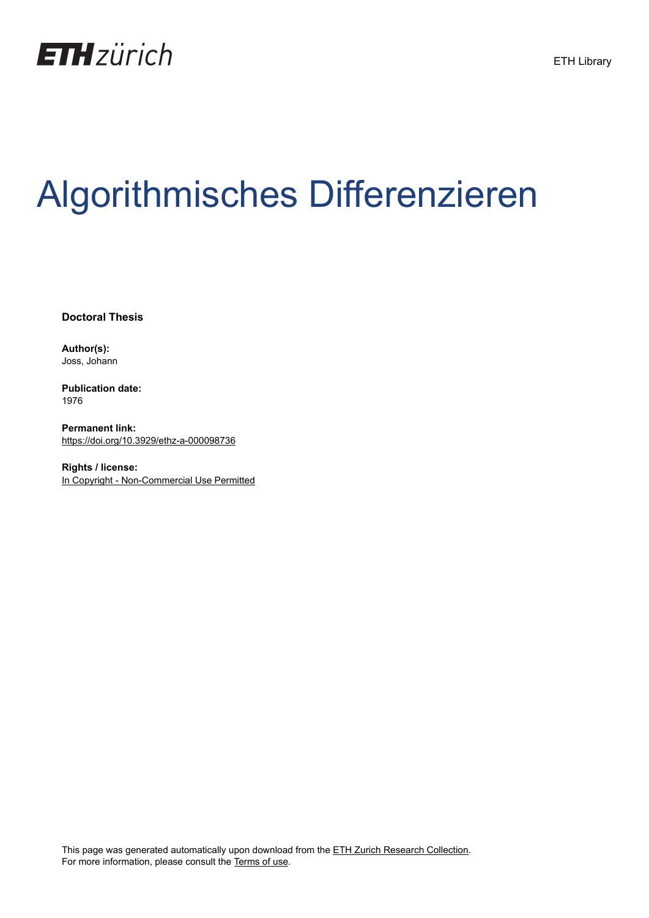

## Algorithmisches Differenzieren

**Doctoral Thesis**

**Author(s):** Joss, Johann

**Publication date:** 1976

**Permanent link:** <https://doi.org/10.3929/ethz-a-000098736>

**Rights / license:** [In Copyright - Non-Commercial Use Permitted](http://rightsstatements.org/page/InC-NC/1.0/)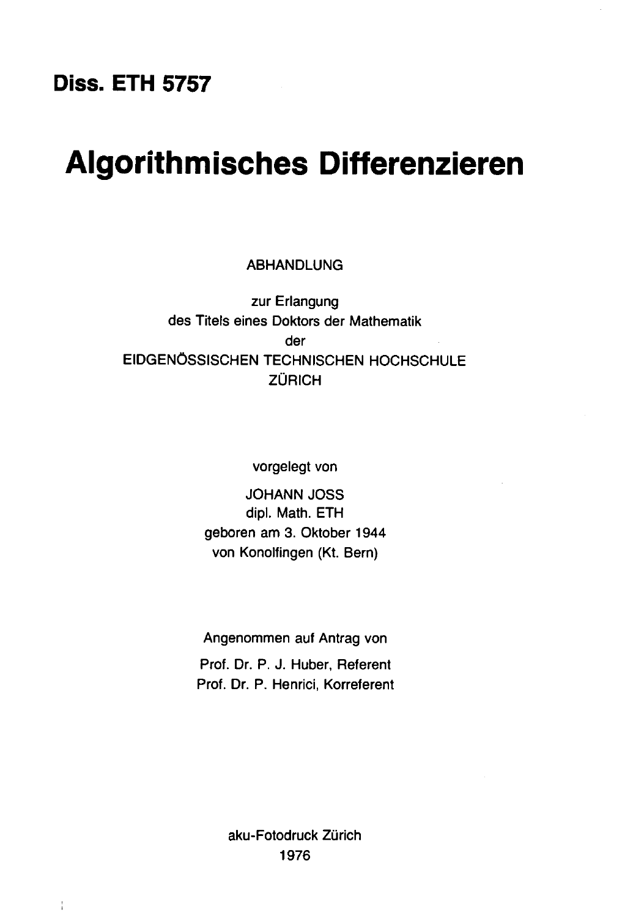## Diss. ETH 5757

## Algorithmisches Differenzieren

ABHANDLUNG

zur Erlangung des Titels eines Doktors der Mathematik der EIDGENOSSISCHEN TECHNISCHEN HOCHSCHULE ZÜRICH

vorgelegt von

JOHANN JOSS dipl. Math. ETH geboren am 3. Oktober 1944 von Konolfingen (Kt. Bern)

Angenommen auf Antrag von Prof. Dr. P. J. Huber, Referent Prof. Dr. P. Henrici, Korreferent

> aku-Fotodruck Zürich 1976